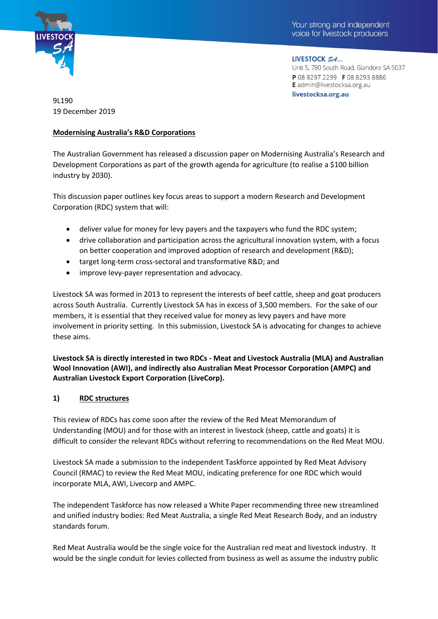

LIVESTOCK SA... Unit 5, 780 South Road, Glandore SA 5037 P 08 8297 2299 F 08 8293 8886 E admin@livestocksa.org.au livestocksa.org.au

9L190 19 December 2019

## **Modernising Australia's R&D Corporations**

The Australian Government has released a discussion paper on Modernising Australia's Research and Development Corporations as part of the growth agenda for agriculture (to realise a \$100 billion industry by 2030).

This discussion paper outlines key focus areas to support a modern Research and Development Corporation (RDC) system that will:

- deliver value for money for levy payers and the taxpayers who fund the RDC system;
- drive collaboration and participation across the agricultural innovation system, with a focus on better cooperation and improved adoption of research and development (R&D);
- target long-term cross-sectoral and transformative R&D; and
- improve levy-payer representation and advocacy.

Livestock SA was formed in 2013 to represent the interests of beef cattle, sheep and goat producers across South Australia. Currently Livestock SA has in excess of 3,500 members. For the sake of our members, it is essential that they received value for money as levy payers and have more involvement in priority setting. In this submission, Livestock SA is advocating for changes to achieve these aims.

**Livestock SA is directly interested in two RDCs - Meat and Livestock Australia (MLA) and Australian Wool Innovation (AWI), and indirectly also Australian Meat Processor Corporation (AMPC) and Australian Livestock Export Corporation (LiveCorp).**

# **1) RDC structures**

This review of RDCs has come soon after the review of the Red Meat Memorandum of Understanding (MOU) and for those with an interest in livestock (sheep, cattle and goats) it is difficult to consider the relevant RDCs without referring to recommendations on the Red Meat MOU.

Livestock SA made a submission to the independent Taskforce appointed by Red Meat Advisory Council (RMAC) to review the Red Meat MOU, indicating preference for one RDC which would incorporate MLA, AWI, Livecorp and AMPC.

The independent Taskforce has now released a White Paper recommending three new streamlined and unified industry bodies: Red Meat Australia, a single Red Meat Research Body, and an industry standards forum.

Red Meat Australia would be the single voice for the Australian red meat and livestock industry. It would be the single conduit for levies collected from business as well as assume the industry public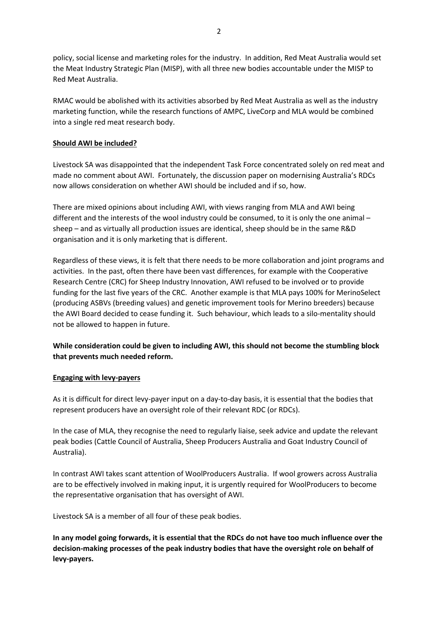$\mathfrak{D}$ 

policy, social license and marketing roles for the industry. In addition, Red Meat Australia would set the Meat Industry Strategic Plan (MISP), with all three new bodies accountable under the MISP to Red Meat Australia.

RMAC would be abolished with its activities absorbed by Red Meat Australia as well as the industry marketing function, while the research functions of AMPC, LiveCorp and MLA would be combined into a single red meat research body.

### **Should AWI be included?**

Livestock SA was disappointed that the independent Task Force concentrated solely on red meat and made no comment about AWI. Fortunately, the discussion paper on modernising Australia's RDCs now allows consideration on whether AWI should be included and if so, how.

There are mixed opinions about including AWI, with views ranging from MLA and AWI being different and the interests of the wool industry could be consumed, to it is only the one animal – sheep – and as virtually all production issues are identical, sheep should be in the same R&D organisation and it is only marketing that is different.

Regardless of these views, it is felt that there needs to be more collaboration and joint programs and activities. In the past, often there have been vast differences, for example with the Cooperative Research Centre (CRC) for Sheep Industry Innovation, AWI refused to be involved or to provide funding for the last five years of the CRC. Another example is that MLA pays 100% for MerinoSelect (producing ASBVs (breeding values) and genetic improvement tools for Merino breeders) because the AWI Board decided to cease funding it. Such behaviour, which leads to a silo-mentality should not be allowed to happen in future.

## **While consideration could be given to including AWI, this should not become the stumbling block that prevents much needed reform.**

#### **Engaging with levy-payers**

As it is difficult for direct levy-payer input on a day-to-day basis, it is essential that the bodies that represent producers have an oversight role of their relevant RDC (or RDCs).

In the case of MLA, they recognise the need to regularly liaise, seek advice and update the relevant peak bodies (Cattle Council of Australia, Sheep Producers Australia and Goat Industry Council of Australia).

In contrast AWI takes scant attention of WoolProducers Australia. If wool growers across Australia are to be effectively involved in making input, it is urgently required for WoolProducers to become the representative organisation that has oversight of AWI.

Livestock SA is a member of all four of these peak bodies.

**In any model going forwards, it is essential that the RDCs do not have too much influence over the decision-making processes of the peak industry bodies that have the oversight role on behalf of levy-payers.**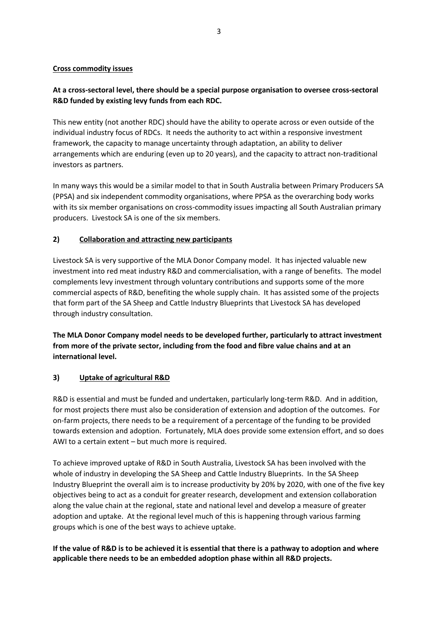### **Cross commodity issues**

# **At a cross-sectoral level, there should be a special purpose organisation to oversee cross-sectoral R&D funded by existing levy funds from each RDC.**

This new entity (not another RDC) should have the ability to operate across or even outside of the individual industry focus of RDCs. It needs the authority to act within a responsive investment framework, the capacity to manage uncertainty through adaptation, an ability to deliver arrangements which are enduring (even up to 20 years), and the capacity to attract non-traditional investors as partners.

In many ways this would be a similar model to that in South Australia between Primary Producers SA (PPSA) and six independent commodity organisations, where PPSA as the overarching body works with its six member organisations on cross-commodity issues impacting all South Australian primary producers. Livestock SA is one of the six members.

## **2) Collaboration and attracting new participants**

Livestock SA is very supportive of the MLA Donor Company model. It has injected valuable new investment into red meat industry R&D and commercialisation, with a range of benefits. The model complements levy investment through voluntary contributions and supports some of the more commercial aspects of R&D, benefiting the whole supply chain. It has assisted some of the projects that form part of the SA Sheep and Cattle Industry Blueprints that Livestock SA has developed through industry consultation.

**The MLA Donor Company model needs to be developed further, particularly to attract investment from more of the private sector, including from the food and fibre value chains and at an international level.**

## **3) Uptake of agricultural R&D**

R&D is essential and must be funded and undertaken, particularly long-term R&D. And in addition, for most projects there must also be consideration of extension and adoption of the outcomes. For on-farm projects, there needs to be a requirement of a percentage of the funding to be provided towards extension and adoption. Fortunately, MLA does provide some extension effort, and so does AWI to a certain extent – but much more is required.

To achieve improved uptake of R&D in South Australia, Livestock SA has been involved with the whole of industry in developing the SA Sheep and Cattle Industry Blueprints. In the SA Sheep Industry Blueprint the overall aim is to increase productivity by 20% by 2020, with one of the five key objectives being to act as a conduit for greater research, development and extension collaboration along the value chain at the regional, state and national level and develop a measure of greater adoption and uptake. At the regional level much of this is happening through various farming groups which is one of the best ways to achieve uptake.

### **If the value of R&D is to be achieved it is essential that there is a pathway to adoption and where applicable there needs to be an embedded adoption phase within all R&D projects.**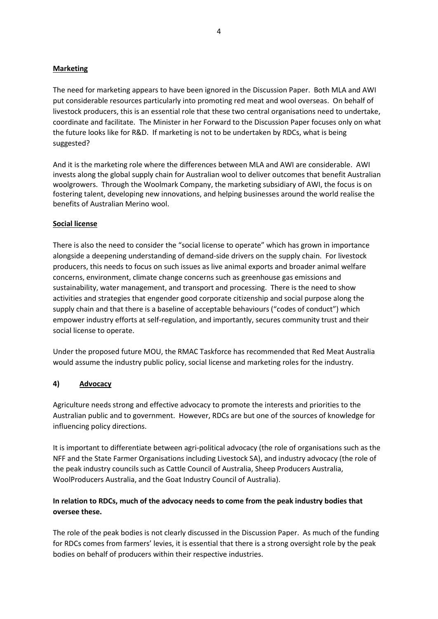### **Marketing**

The need for marketing appears to have been ignored in the Discussion Paper. Both MLA and AWI put considerable resources particularly into promoting red meat and wool overseas. On behalf of livestock producers, this is an essential role that these two central organisations need to undertake, coordinate and facilitate. The Minister in her Forward to the Discussion Paper focuses only on what the future looks like for R&D. If marketing is not to be undertaken by RDCs, what is being suggested?

And it is the marketing role where the differences between MLA and AWI are considerable. AWI invests along the global supply chain for Australian wool to deliver outcomes that benefit Australian woolgrowers. Through the Woolmark Company, the marketing subsidiary of AWI, the focus is on fostering talent, developing new innovations, and helping businesses around the world realise the benefits of Australian Merino wool.

#### **Social license**

There is also the need to consider the "social license to operate" which has grown in importance alongside a deepening understanding of demand-side drivers on the supply chain. For livestock producers, this needs to focus on such issues as live animal exports and broader animal welfare concerns, environment, climate change concerns such as greenhouse gas emissions and sustainability, water management, and transport and processing. There is the need to show activities and strategies that engender good corporate citizenship and social purpose along the supply chain and that there is a baseline of acceptable behaviours ("codes of conduct") which empower industry efforts at self-regulation, and importantly, secures community trust and their social license to operate.

Under the proposed future MOU, the RMAC Taskforce has recommended that Red Meat Australia would assume the industry public policy, social license and marketing roles for the industry.

### **4) Advocacy**

Agriculture needs strong and effective advocacy to promote the interests and priorities to the Australian public and to government. However, RDCs are but one of the sources of knowledge for influencing policy directions.

It is important to differentiate between agri-political advocacy (the role of organisations such as the NFF and the State Farmer Organisations including Livestock SA), and industry advocacy (the role of the peak industry councils such as Cattle Council of Australia, Sheep Producers Australia, WoolProducers Australia, and the Goat Industry Council of Australia).

## **In relation to RDCs, much of the advocacy needs to come from the peak industry bodies that oversee these.**

The role of the peak bodies is not clearly discussed in the Discussion Paper. As much of the funding for RDCs comes from farmers' levies, it is essential that there is a strong oversight role by the peak bodies on behalf of producers within their respective industries.